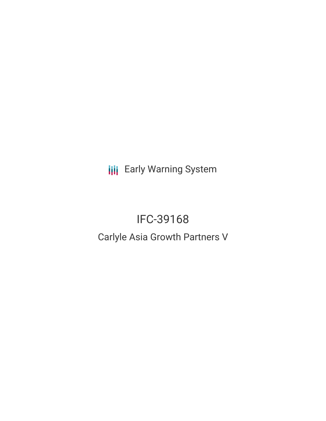**III** Early Warning System

# IFC-39168

## Carlyle Asia Growth Partners V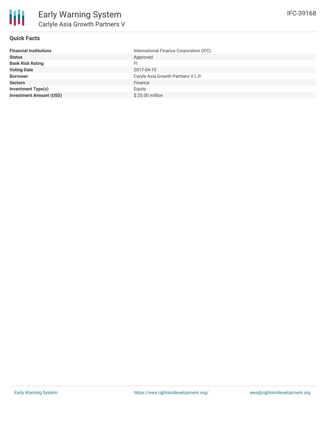

## **Quick Facts**

| International Finance Corporation (IFC) |
|-----------------------------------------|
| Approved                                |
| FI.                                     |
| 2017-04-10                              |
| Caryle Asia Growth Partners V L.P.      |
| Finance                                 |
| Equity                                  |
| \$25.00 million                         |
|                                         |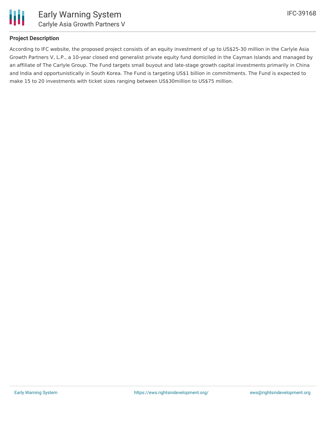

## **Project Description**

According to IFC website, the proposed project consists of an equity investment of up to US\$25-30 million in the Carlyle Asia Growth Partners V, L.P., a 10-year closed end generalist private equity fund domiciled in the Cayman Islands and managed by an affiliate of The Carlyle Group. The Fund targets small buyout and late-stage growth capital investments primarily in China and India and opportunistically in South Korea. The Fund is targeting US\$1 billion in commitments. The Fund is expected to make 15 to 20 investments with ticket sizes ranging between US\$30million to US\$75 million.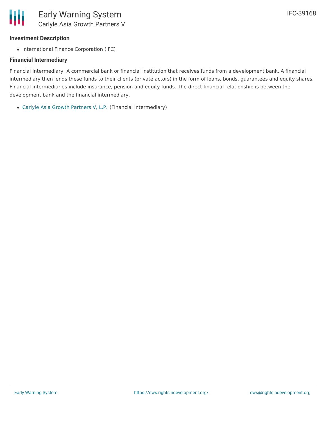## **Investment Description**

• International Finance Corporation (IFC)

## **Financial Intermediary**

Financial Intermediary: A commercial bank or financial institution that receives funds from a development bank. A financial intermediary then lends these funds to their clients (private actors) in the form of loans, bonds, guarantees and equity shares. Financial intermediaries include insurance, pension and equity funds. The direct financial relationship is between the development bank and the financial intermediary.

Carlyle Asia Growth [Partners](file:///actor/1032/) V, L.P. (Financial Intermediary)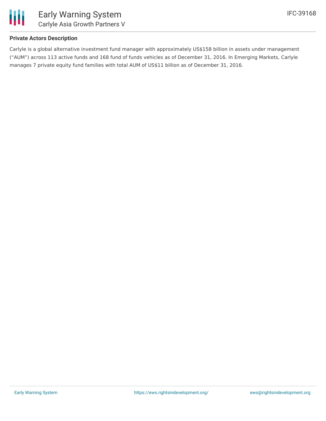

## **Private Actors Description**

Carlyle is a global alternative investment fund manager with approximately US\$158 billion in assets under management ("AUM") across 113 active funds and 168 fund of funds vehicles as of December 31, 2016. In Emerging Markets, Carlyle manages 7 private equity fund families with total AUM of US\$11 billion as of December 31, 2016.